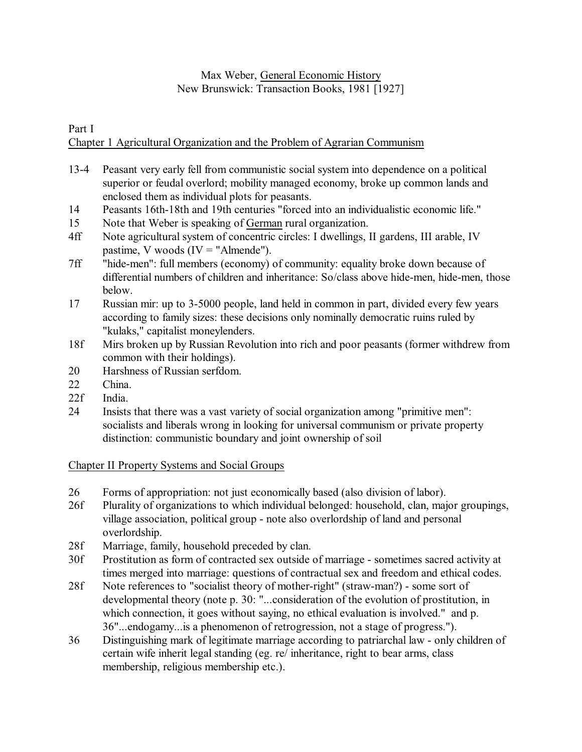# Max Weber, General Economic History New Brunswick: Transaction Books, 1981 [1927]

Part I

# Chapter 1 Agricultural Organization and the Problem of Agrarian Communism

- 13-4 Peasant very early fell from communistic social system into dependence on a political superior or feudal overlord; mobility managed economy, broke up common lands and enclosed them as individual plots for peasants.
- 14 Peasants 16th-18th and 19th centuries "forced into an individualistic economic life."
- 15 Note that Weber is speaking of German rural organization.
- 4ff Note agricultural system of concentric circles: I dwellings, II gardens, III arable, IV pastime, V woods  $(IV = "Almende").$
- 7ff "hide-men": full members (economy) of community: equality broke down because of differential numbers of children and inheritance: So/class above hide-men, hide-men, those below.
- 17 Russian mir: up to 3-5000 people, land held in common in part, divided every few years according to family sizes: these decisions only nominally democratic ruins ruled by "kulaks," capitalist moneylenders.
- 18f Mirs broken up by Russian Revolution into rich and poor peasants (former withdrew from common with their holdings).
- 20 Harshness of Russian serfdom.
- 22 China.
- 22f India.
- 24 Insists that there was a vast variety of social organization among "primitive men": socialists and liberals wrong in looking for universal communism or private property distinction: communistic boundary and joint ownership of soil

# Chapter II Property Systems and Social Groups

- 26 Forms of appropriation: not just economically based (also division of labor).
- 26f Plurality of organizations to which individual belonged: household, clan, major groupings, village association, political group - note also overlordship of land and personal overlordship.
- 28f Marriage, family, household preceded by clan.
- 30f Prostitution as form of contracted sex outside of marriage sometimes sacred activity at times merged into marriage: questions of contractual sex and freedom and ethical codes.
- 28f Note references to "socialist theory of mother-right" (straw-man?) some sort of developmental theory (note p. 30: "...consideration of the evolution of prostitution, in which connection, it goes without saying, no ethical evaluation is involved." and p. 36"...endogamy...is a phenomenon of retrogression, not a stage of progress.").
- 36 Distinguishing mark of legitimate marriage according to patriarchal law only children of certain wife inherit legal standing (eg. re/ inheritance, right to bear arms, class membership, religious membership etc.).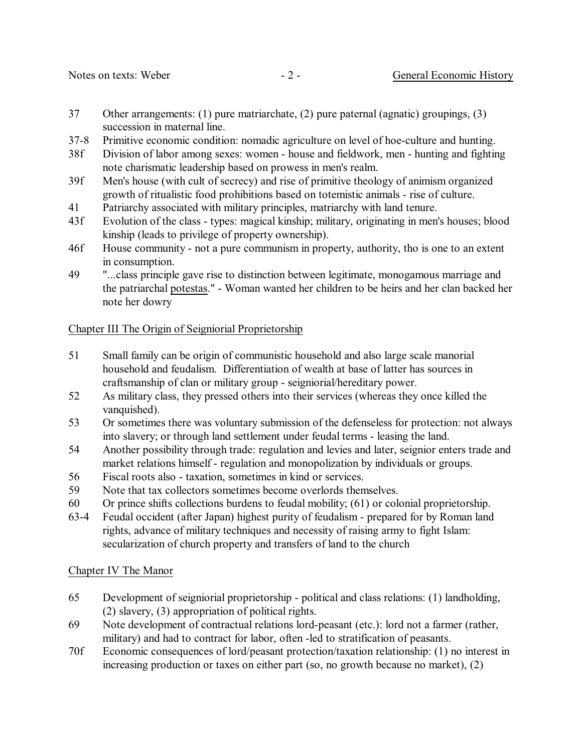- 37 Other arrangements: (1) pure matriarchate, (2) pure paternal (agnatic) groupings, (3) succession in maternal line.
- 37-8 Primitive economic condition: nomadic agriculture on level of hoe-culture and hunting.
- 38f Division of labor among sexes: women house and fieldwork, men hunting and fighting note charismatic leadership based on prowess in men's realm.
- 39f Men's house (with cult of secrecy) and rise of primitive theology of animism organized growth of ritualistic food prohibitions based on totemistic animals - rise of culture.
- 41 Patriarchy associated with military principles, matriarchy with land tenure.
- 43f Evolution of the class types: magical kinship; military, originating in men's houses; blood kinship (leads to privilege of property ownership).
- 46f House community not a pure communism in property, authority, tho is one to an extent in consumption.
- 49 "...class principle gave rise to distinction between legitimate, monogamous marriage and the patriarchal potestas." - Woman wanted her children to be heirs and her clan backed her note her dowry

# Chapter III The Origin of Seigniorial Proprietorship

- 51 Small family can be origin of communistic household and also large scale manorial household and feudalism. Differentiation of wealth at base of latter has sources in craftsmanship of clan or military group - seigniorial/hereditary power.
- 52 As military class, they pressed others into their services (whereas they once killed the vanquished).
- 53 Or sometimes there was voluntary submission of the defenseless for protection: not always into slavery; or through land settlement under feudal terms - leasing the land.
- 54 Another possibility through trade: regulation and levies and later, seignior enters trade and market relations himself - regulation and monopolization by individuals or groups.
- 56 Fiscal roots also taxation, sometimes in kind or services.
- 59 Note that tax collectors sometimes become overlords themselves.
- 60 Or prince shifts collections burdens to feudal mobility; (61) or colonial proprietorship.
- 63-4 Feudal occident (after Japan) highest purity of feudalism prepared for by Roman land rights, advance of military techniques and necessity of raising army to fight Islam: secularization of church property and transfers of land to the church

#### Chapter IV The Manor

- 65 Development of seigniorial proprietorship political and class relations: (1) landholding, (2) slavery, (3) appropriation of political rights.
- 69 Note development of contractual relations lord-peasant (etc.): lord not a farmer (rather, military) and had to contract for labor, often -led to stratification of peasants.
- 70f Economic consequences of lord/peasant protection/taxation relationship: (1) no interest in increasing production or taxes on either part (so, no growth because no market), (2)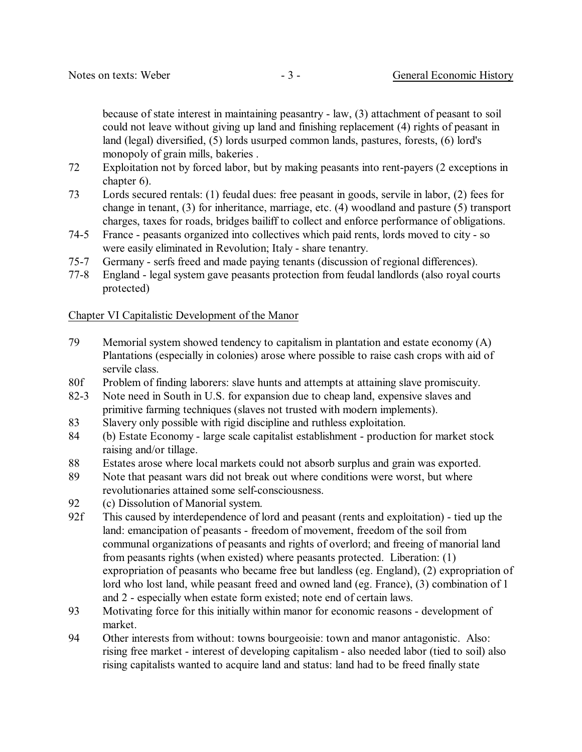because of state interest in maintaining peasantry - law, (3) attachment of peasant to soil could not leave without giving up land and finishing replacement (4) rights of peasant in land (legal) diversified, (5) lords usurped common lands, pastures, forests, (6) lord's monopoly of grain mills, bakeries .

- 72 Exploitation not by forced labor, but by making peasants into rent-payers (2 exceptions in chapter 6).
- 73 Lords secured rentals: (1) feudal dues: free peasant in goods, servile in labor, (2) fees for change in tenant, (3) for inheritance, marriage, etc. (4) woodland and pasture (5) transport charges, taxes for roads, bridges bailiff to collect and enforce performance of obligations.
- 74-5 France peasants organized into collectives which paid rents, lords moved to city so were easily eliminated in Revolution; Italy - share tenantry.
- 75-7 Germany serfs freed and made paying tenants (discussion of regional differences).
- 77-8 England legal system gave peasants protection from feudal landlords (also royal courts protected)

#### Chapter VI Capitalistic Development of the Manor

- 79 Memorial system showed tendency to capitalism in plantation and estate economy (A) Plantations (especially in colonies) arose where possible to raise cash crops with aid of servile class.
- 80f Problem of finding laborers: slave hunts and attempts at attaining slave promiscuity.
- 82-3 Note need in South in U.S. for expansion due to cheap land, expensive slaves and primitive farming techniques (slaves not trusted with modern implements).
- 83 Slavery only possible with rigid discipline and ruthless exploitation.
- 84 (b) Estate Economy large scale capitalist establishment production for market stock raising and/or tillage.
- 88 Estates arose where local markets could not absorb surplus and grain was exported.
- 89 Note that peasant wars did not break out where conditions were worst, but where revolutionaries attained some self-consciousness.
- 92 (c) Dissolution of Manorial system.
- 92f This caused by interdependence of lord and peasant (rents and exploitation) tied up the land: emancipation of peasants - freedom of movement, freedom of the soil from communal organizations of peasants and rights of overlord; and freeing of manorial land from peasants rights (when existed) where peasants protected. Liberation: (1) expropriation of peasants who became free but landless (eg. England), (2) expropriation of lord who lost land, while peasant freed and owned land (eg. France), (3) combination of 1 and 2 - especially when estate form existed; note end of certain laws.
- 93 Motivating force for this initially within manor for economic reasons development of market.
- 94 Other interests from without: towns bourgeoisie: town and manor antagonistic. Also: rising free market - interest of developing capitalism - also needed labor (tied to soil) also rising capitalists wanted to acquire land and status: land had to be freed finally state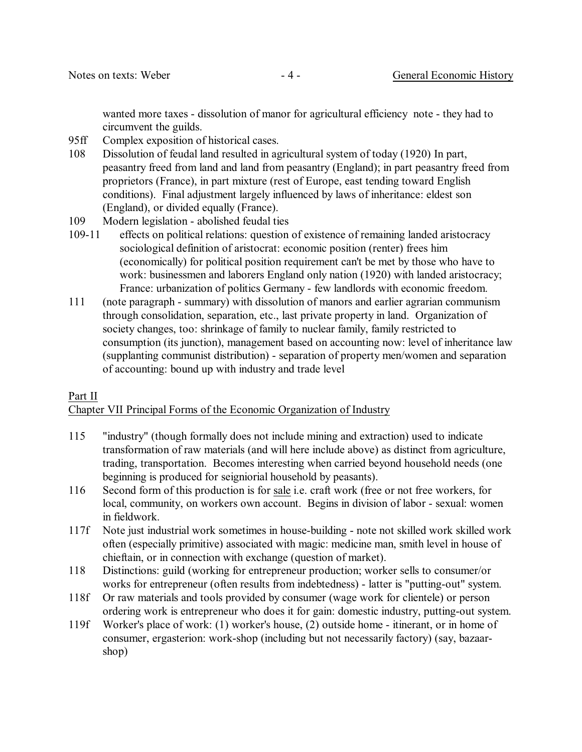wanted more taxes - dissolution of manor for agricultural efficiency note - they had to circumvent the guilds.

- 95ff Complex exposition of historical cases.
- 108 Dissolution of feudal land resulted in agricultural system of today (1920) In part, peasantry freed from land and land from peasantry (England); in part peasantry freed from proprietors (France), in part mixture (rest of Europe, east tending toward English conditions). Final adjustment largely influenced by laws of inheritance: eldest son (England), or divided equally (France).
- 109 Modern legislation abolished feudal ties
- 109-11 effects on political relations: question of existence of remaining landed aristocracy sociological definition of aristocrat: economic position (renter) frees him (economically) for political position requirement can't be met by those who have to work: businessmen and laborers England only nation (1920) with landed aristocracy; France: urbanization of politics Germany - few landlords with economic freedom.
- 111 (note paragraph summary) with dissolution of manors and earlier agrarian communism through consolidation, separation, etc., last private property in land. Organization of society changes, too: shrinkage of family to nuclear family, family restricted to consumption (its junction), management based on accounting now: level of inheritance law (supplanting communist distribution) - separation of property men/women and separation of accounting: bound up with industry and trade level

#### Part II

# Chapter VII Principal Forms of the Economic Organization of Industry

- 115 "industry" (though formally does not include mining and extraction) used to indicate transformation of raw materials (and will here include above) as distinct from agriculture, trading, transportation. Becomes interesting when carried beyond household needs (one beginning is produced for seigniorial household by peasants).
- 116 Second form of this production is for sale i.e. craft work (free or not free workers, for local, community, on workers own account. Begins in division of labor - sexual: women in fieldwork.
- 117f Note just industrial work sometimes in house-building note not skilled work skilled work often (especially primitive) associated with magic: medicine man, smith level in house of chieftain, or in connection with exchange (question of market).
- 118 Distinctions: guild (working for entrepreneur production; worker sells to consumer/or works for entrepreneur (often results from indebtedness) - latter is "putting-out" system.
- 118f Or raw materials and tools provided by consumer (wage work for clientele) or person ordering work is entrepreneur who does it for gain: domestic industry, putting-out system.
- 119f Worker's place of work: (1) worker's house, (2) outside home itinerant, or in home of consumer, ergasterion: work-shop (including but not necessarily factory) (say, bazaarshop)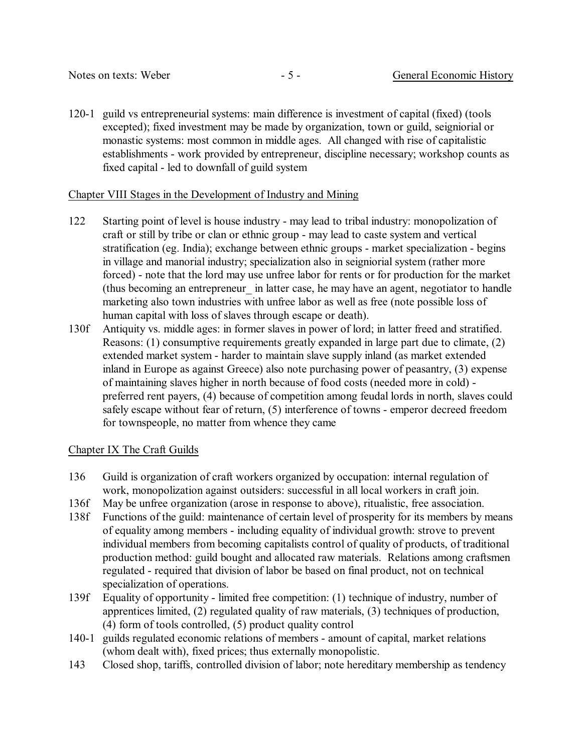120-1 guild vs entrepreneurial systems: main difference is investment of capital (fixed) (tools excepted); fixed investment may be made by organization, town or guild, seigniorial or monastic systems: most common in middle ages. All changed with rise of capitalistic establishments - work provided by entrepreneur, discipline necessary; workshop counts as fixed capital - led to downfall of guild system

### Chapter VIII Stages in the Development of Industry and Mining

- 122 Starting point of level is house industry may lead to tribal industry: monopolization of craft or still by tribe or clan or ethnic group - may lead to caste system and vertical stratification (eg. India); exchange between ethnic groups - market specialization - begins in village and manorial industry; specialization also in seigniorial system (rather more forced) - note that the lord may use unfree labor for rents or for production for the market (thus becoming an entrepreneur\_ in latter case, he may have an agent, negotiator to handle marketing also town industries with unfree labor as well as free (note possible loss of human capital with loss of slaves through escape or death).
- 130f Antiquity vs. middle ages: in former slaves in power of lord; in latter freed and stratified. Reasons: (1) consumptive requirements greatly expanded in large part due to climate, (2) extended market system - harder to maintain slave supply inland (as market extended inland in Europe as against Greece) also note purchasing power of peasantry, (3) expense of maintaining slaves higher in north because of food costs (needed more in cold) preferred rent payers, (4) because of competition among feudal lords in north, slaves could safely escape without fear of return, (5) interference of towns - emperor decreed freedom for townspeople, no matter from whence they came

# Chapter IX The Craft Guilds

- 136 Guild is organization of craft workers organized by occupation: internal regulation of work, monopolization against outsiders: successful in all local workers in craft join.
- 136f May be unfree organization (arose in response to above), ritualistic, free association.
- 138f Functions of the guild: maintenance of certain level of prosperity for its members by means of equality among members - including equality of individual growth: strove to prevent individual members from becoming capitalists control of quality of products, of traditional production method: guild bought and allocated raw materials. Relations among craftsmen regulated - required that division of labor be based on final product, not on technical specialization of operations.
- 139f Equality of opportunity limited free competition: (1) technique of industry, number of apprentices limited, (2) regulated quality of raw materials, (3) techniques of production, (4) form of tools controlled, (5) product quality control
- 140-1 guilds regulated economic relations of members amount of capital, market relations (whom dealt with), fixed prices; thus externally monopolistic.
- 143 Closed shop, tariffs, controlled division of labor; note hereditary membership as tendency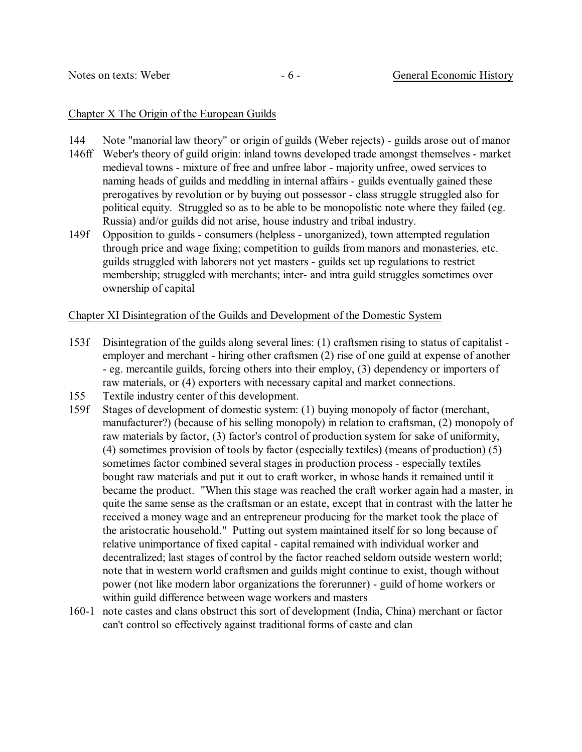#### Chapter X The Origin of the European Guilds

- 144 Note "manorial law theory" or origin of guilds (Weber rejects) guilds arose out of manor
- 146ff Weber's theory of guild origin: inland towns developed trade amongst themselves market medieval towns - mixture of free and unfree labor - majority unfree, owed services to naming heads of guilds and meddling in internal affairs - guilds eventually gained these prerogatives by revolution or by buying out possessor - class struggle struggled also for political equity. Struggled so as to be able to be monopolistic note where they failed (eg. Russia) and/or guilds did not arise, house industry and tribal industry.
- 149f Opposition to guilds consumers (helpless unorganized), town attempted regulation through price and wage fixing; competition to guilds from manors and monasteries, etc. guilds struggled with laborers not yet masters - guilds set up regulations to restrict membership; struggled with merchants; inter- and intra guild struggles sometimes over ownership of capital

#### Chapter XI Disintegration of the Guilds and Development of the Domestic System

- 153f Disintegration of the guilds along several lines: (1) craftsmen rising to status of capitalist employer and merchant - hiring other craftsmen (2) rise of one guild at expense of another - eg. mercantile guilds, forcing others into their employ, (3) dependency or importers of raw materials, or (4) exporters with necessary capital and market connections.
- 155 Textile industry center of this development.
- 159f Stages of development of domestic system: (1) buying monopoly of factor (merchant, manufacturer?) (because of his selling monopoly) in relation to craftsman, (2) monopoly of raw materials by factor, (3) factor's control of production system for sake of uniformity, (4) sometimes provision of tools by factor (especially textiles) (means of production) (5) sometimes factor combined several stages in production process - especially textiles bought raw materials and put it out to craft worker, in whose hands it remained until it became the product. "When this stage was reached the craft worker again had a master, in quite the same sense as the craftsman or an estate, except that in contrast with the latter he received a money wage and an entrepreneur producing for the market took the place of the aristocratic household." Putting out system maintained itself for so long because of relative unimportance of fixed capital - capital remained with individual worker and decentralized; last stages of control by the factor reached seldom outside western world; note that in western world craftsmen and guilds might continue to exist, though without power (not like modern labor organizations the forerunner) - guild of home workers or within guild difference between wage workers and masters
- 160-1 note castes and clans obstruct this sort of development (India, China) merchant or factor can't control so effectively against traditional forms of caste and clan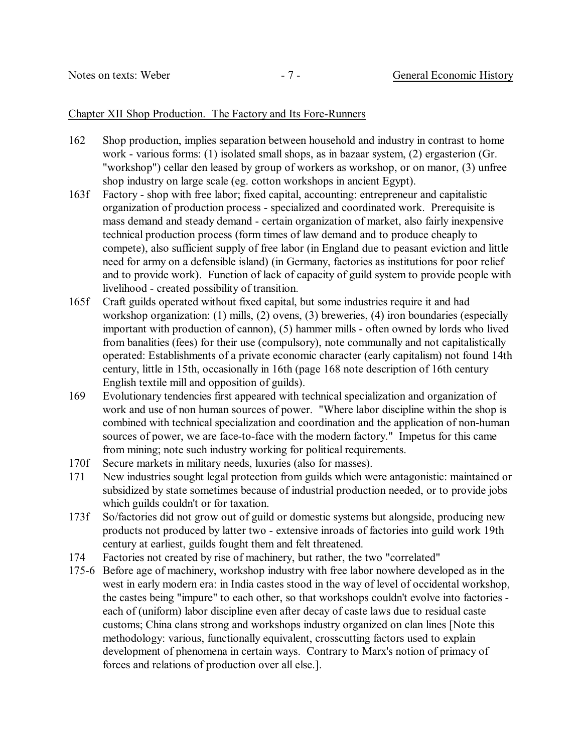#### Chapter XII Shop Production. The Factory and Its Fore-Runners

- 162 Shop production, implies separation between household and industry in contrast to home work - various forms: (1) isolated small shops, as in bazaar system, (2) ergasterion (Gr. "workshop") cellar den leased by group of workers as workshop, or on manor, (3) unfree shop industry on large scale (eg. cotton workshops in ancient Egypt).
- 163f Factory shop with free labor; fixed capital, accounting: entrepreneur and capitalistic organization of production process - specialized and coordinated work. Prerequisite is mass demand and steady demand - certain organization of market, also fairly inexpensive technical production process (form times of law demand and to produce cheaply to compete), also sufficient supply of free labor (in England due to peasant eviction and little need for army on a defensible island) (in Germany, factories as institutions for poor relief and to provide work). Function of lack of capacity of guild system to provide people with livelihood - created possibility of transition.
- 165f Craft guilds operated without fixed capital, but some industries require it and had workshop organization: (1) mills, (2) ovens, (3) breweries, (4) iron boundaries (especially important with production of cannon), (5) hammer mills - often owned by lords who lived from banalities (fees) for their use (compulsory), note communally and not capitalistically operated: Establishments of a private economic character (early capitalism) not found 14th century, little in 15th, occasionally in 16th (page 168 note description of 16th century English textile mill and opposition of guilds).
- 169 Evolutionary tendencies first appeared with technical specialization and organization of work and use of non human sources of power. "Where labor discipline within the shop is combined with technical specialization and coordination and the application of non-human sources of power, we are face-to-face with the modern factory." Impetus for this came from mining; note such industry working for political requirements.
- 170f Secure markets in military needs, luxuries (also for masses).
- 171 New industries sought legal protection from guilds which were antagonistic: maintained or subsidized by state sometimes because of industrial production needed, or to provide jobs which guilds couldn't or for taxation.
- 173f So/factories did not grow out of guild or domestic systems but alongside, producing new products not produced by latter two - extensive inroads of factories into guild work 19th century at earliest, guilds fought them and felt threatened.
- 174 Factories not created by rise of machinery, but rather, the two "correlated"
- 175-6 Before age of machinery, workshop industry with free labor nowhere developed as in the west in early modern era: in India castes stood in the way of level of occidental workshop, the castes being "impure" to each other, so that workshops couldn't evolve into factories each of (uniform) labor discipline even after decay of caste laws due to residual caste customs; China clans strong and workshops industry organized on clan lines [Note this methodology: various, functionally equivalent, crosscutting factors used to explain development of phenomena in certain ways. Contrary to Marx's notion of primacy of forces and relations of production over all else.].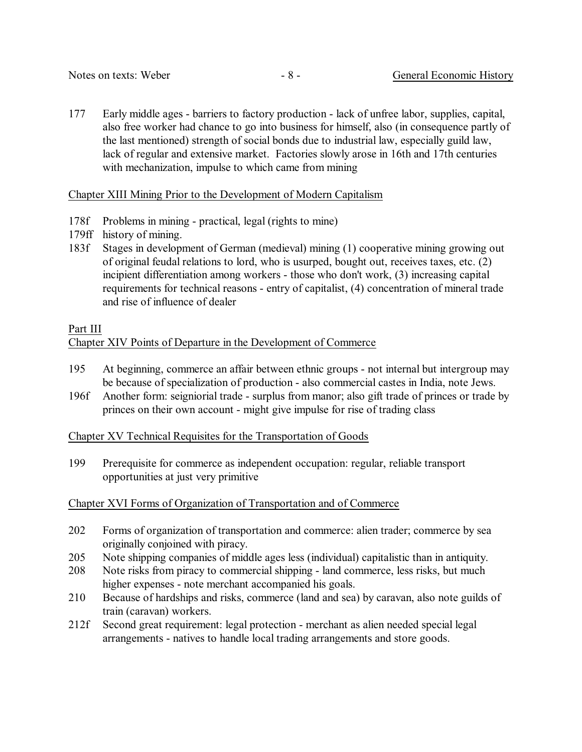177 Early middle ages - barriers to factory production - lack of unfree labor, supplies, capital, also free worker had chance to go into business for himself, also (in consequence partly of the last mentioned) strength of social bonds due to industrial law, especially guild law, lack of regular and extensive market. Factories slowly arose in 16th and 17th centuries with mechanization, impulse to which came from mining

# Chapter XIII Mining Prior to the Development of Modern Capitalism

- 178f Problems in mining practical, legal (rights to mine)
- 179ff history of mining.
- 183f Stages in development of German (medieval) mining (1) cooperative mining growing out of original feudal relations to lord, who is usurped, bought out, receives taxes, etc. (2) incipient differentiation among workers - those who don't work, (3) increasing capital requirements for technical reasons - entry of capitalist, (4) concentration of mineral trade and rise of influence of dealer

# Part III

# Chapter XIV Points of Departure in the Development of Commerce

- 195 At beginning, commerce an affair between ethnic groups not internal but intergroup may be because of specialization of production - also commercial castes in India, note Jews.
- 196f Another form: seigniorial trade surplus from manor; also gift trade of princes or trade by princes on their own account - might give impulse for rise of trading class

Chapter XV Technical Requisites for the Transportation of Goods

199 Prerequisite for commerce as independent occupation: regular, reliable transport opportunities at just very primitive

# Chapter XVI Forms of Organization of Transportation and of Commerce

- 202 Forms of organization of transportation and commerce: alien trader; commerce by sea originally conjoined with piracy.
- 205 Note shipping companies of middle ages less (individual) capitalistic than in antiquity.
- 208 Note risks from piracy to commercial shipping land commerce, less risks, but much higher expenses - note merchant accompanied his goals.
- 210 Because of hardships and risks, commerce (land and sea) by caravan, also note guilds of train (caravan) workers.
- 212f Second great requirement: legal protection merchant as alien needed special legal arrangements - natives to handle local trading arrangements and store goods.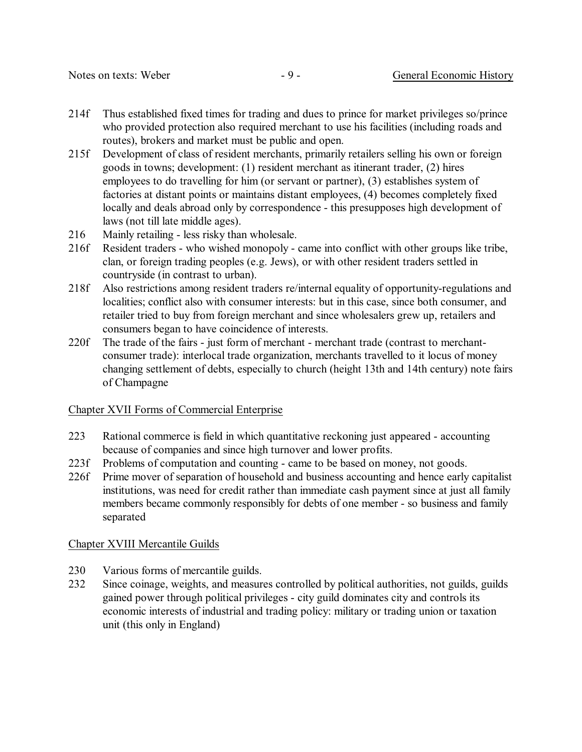- 214f Thus established fixed times for trading and dues to prince for market privileges so/prince who provided protection also required merchant to use his facilities (including roads and routes), brokers and market must be public and open.
- 215f Development of class of resident merchants, primarily retailers selling his own or foreign goods in towns; development: (1) resident merchant as itinerant trader, (2) hires employees to do travelling for him (or servant or partner), (3) establishes system of factories at distant points or maintains distant employees, (4) becomes completely fixed locally and deals abroad only by correspondence - this presupposes high development of laws (not till late middle ages).
- 216 Mainly retailing less risky than wholesale.
- 216f Resident traders who wished monopoly came into conflict with other groups like tribe, clan, or foreign trading peoples (e.g. Jews), or with other resident traders settled in countryside (in contrast to urban).
- 218f Also restrictions among resident traders re/internal equality of opportunity-regulations and localities; conflict also with consumer interests: but in this case, since both consumer, and retailer tried to buy from foreign merchant and since wholesalers grew up, retailers and consumers began to have coincidence of interests.
- 220f The trade of the fairs just form of merchant merchant trade (contrast to merchantconsumer trade): interlocal trade organization, merchants travelled to it locus of money changing settlement of debts, especially to church (height 13th and 14th century) note fairs of Champagne

#### Chapter XVII Forms of Commercial Enterprise

- 223 Rational commerce is field in which quantitative reckoning just appeared accounting because of companies and since high turnover and lower profits.
- 223f Problems of computation and counting came to be based on money, not goods.
- 226f Prime mover of separation of household and business accounting and hence early capitalist institutions, was need for credit rather than immediate cash payment since at just all family members became commonly responsibly for debts of one member - so business and family separated

#### Chapter XVIII Mercantile Guilds

- 230 Various forms of mercantile guilds.
- 232 Since coinage, weights, and measures controlled by political authorities, not guilds, guilds gained power through political privileges - city guild dominates city and controls its economic interests of industrial and trading policy: military or trading union or taxation unit (this only in England)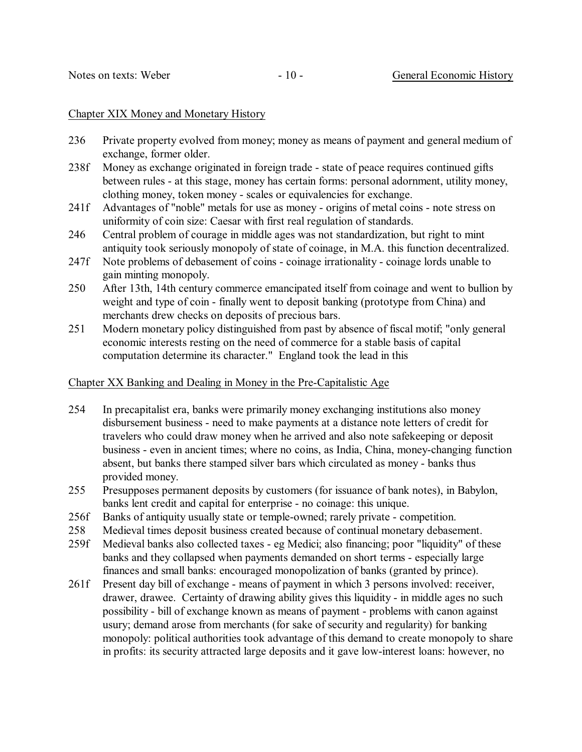#### Chapter XIX Money and Monetary History

- 236 Private property evolved from money; money as means of payment and general medium of exchange, former older.
- 238f Money as exchange originated in foreign trade state of peace requires continued gifts between rules - at this stage, money has certain forms: personal adornment, utility money, clothing money, token money - scales or equivalencies for exchange.
- 241f Advantages of "noble" metals for use as money origins of metal coins note stress on uniformity of coin size: Caesar with first real regulation of standards.
- 246 Central problem of courage in middle ages was not standardization, but right to mint antiquity took seriously monopoly of state of coinage, in M.A. this function decentralized.
- 247f Note problems of debasement of coins coinage irrationality coinage lords unable to gain minting monopoly.
- 250 After 13th, 14th century commerce emancipated itself from coinage and went to bullion by weight and type of coin - finally went to deposit banking (prototype from China) and merchants drew checks on deposits of precious bars.
- 251 Modern monetary policy distinguished from past by absence of fiscal motif; "only general economic interests resting on the need of commerce for a stable basis of capital computation determine its character." England took the lead in this

# Chapter XX Banking and Dealing in Money in the Pre-Capitalistic Age

- 254 In precapitalist era, banks were primarily money exchanging institutions also money disbursement business - need to make payments at a distance note letters of credit for travelers who could draw money when he arrived and also note safekeeping or deposit business - even in ancient times; where no coins, as India, China, money-changing function absent, but banks there stamped silver bars which circulated as money - banks thus provided money.
- 255 Presupposes permanent deposits by customers (for issuance of bank notes), in Babylon, banks lent credit and capital for enterprise - no coinage: this unique.
- 256f Banks of antiquity usually state or temple-owned; rarely private competition.
- 258 Medieval times deposit business created because of continual monetary debasement.
- 259f Medieval banks also collected taxes eg Medici; also financing; poor "liquidity" of these banks and they collapsed when payments demanded on short terms - especially large finances and small banks: encouraged monopolization of banks (granted by prince).
- 261f Present day bill of exchange means of payment in which 3 persons involved: receiver, drawer, drawee. Certainty of drawing ability gives this liquidity - in middle ages no such possibility - bill of exchange known as means of payment - problems with canon against usury; demand arose from merchants (for sake of security and regularity) for banking monopoly: political authorities took advantage of this demand to create monopoly to share in profits: its security attracted large deposits and it gave low-interest loans: however, no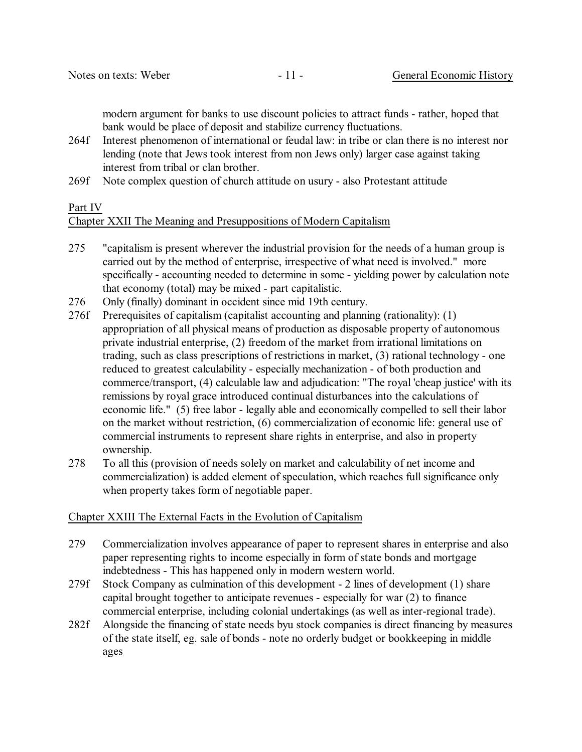modern argument for banks to use discount policies to attract funds - rather, hoped that bank would be place of deposit and stabilize currency fluctuations.

- 264f Interest phenomenon of international or feudal law: in tribe or clan there is no interest nor lending (note that Jews took interest from non Jews only) larger case against taking interest from tribal or clan brother.
- 269f Note complex question of church attitude on usury also Protestant attitude

# Part IV

# Chapter XXII The Meaning and Presuppositions of Modern Capitalism

- 275 "capitalism is present wherever the industrial provision for the needs of a human group is carried out by the method of enterprise, irrespective of what need is involved." more specifically - accounting needed to determine in some - yielding power by calculation note that economy (total) may be mixed - part capitalistic.
- 276 Only (finally) dominant in occident since mid 19th century.
- 276f Prerequisites of capitalism (capitalist accounting and planning (rationality): (1) appropriation of all physical means of production as disposable property of autonomous private industrial enterprise, (2) freedom of the market from irrational limitations on trading, such as class prescriptions of restrictions in market, (3) rational technology - one reduced to greatest calculability - especially mechanization - of both production and commerce/transport, (4) calculable law and adjudication: "The royal 'cheap justice' with its remissions by royal grace introduced continual disturbances into the calculations of economic life." (5) free labor - legally able and economically compelled to sell their labor on the market without restriction, (6) commercialization of economic life: general use of commercial instruments to represent share rights in enterprise, and also in property ownership.
- 278 To all this (provision of needs solely on market and calculability of net income and commercialization) is added element of speculation, which reaches full significance only when property takes form of negotiable paper.

# Chapter XXIII The External Facts in the Evolution of Capitalism

- 279 Commercialization involves appearance of paper to represent shares in enterprise and also paper representing rights to income especially in form of state bonds and mortgage indebtedness - This has happened only in modern western world.
- 279f Stock Company as culmination of this development 2 lines of development (1) share capital brought together to anticipate revenues - especially for war (2) to finance commercial enterprise, including colonial undertakings (as well as inter-regional trade).
- 282f Alongside the financing of state needs byu stock companies is direct financing by measures of the state itself, eg. sale of bonds - note no orderly budget or bookkeeping in middle ages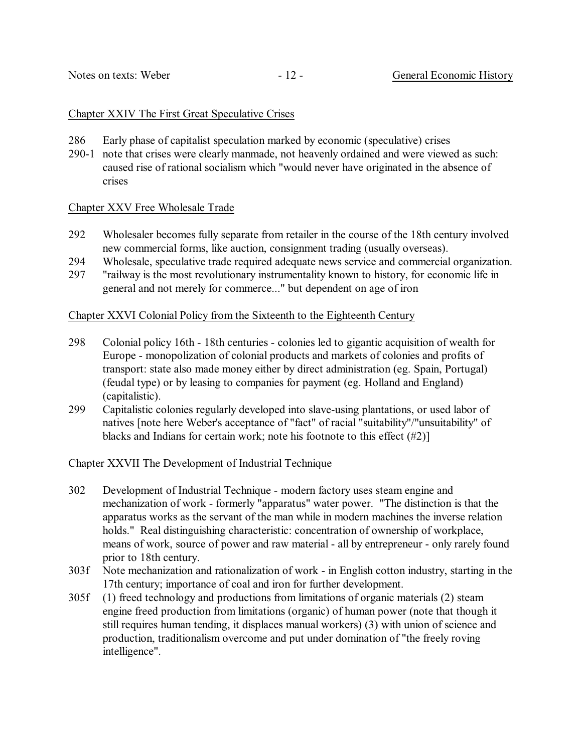#### Chapter XXIV The First Great Speculative Crises

- 286 Early phase of capitalist speculation marked by economic (speculative) crises
- 290-1 note that crises were clearly manmade, not heavenly ordained and were viewed as such: caused rise of rational socialism which "would never have originated in the absence of crises

# Chapter XXV Free Wholesale Trade

- 292 Wholesaler becomes fully separate from retailer in the course of the 18th century involved new commercial forms, like auction, consignment trading (usually overseas).
- 294 Wholesale, speculative trade required adequate news service and commercial organization.
- 297 "railway is the most revolutionary instrumentality known to history, for economic life in general and not merely for commerce..." but dependent on age of iron

# Chapter XXVI Colonial Policy from the Sixteenth to the Eighteenth Century

- 298 Colonial policy 16th 18th centuries colonies led to gigantic acquisition of wealth for Europe - monopolization of colonial products and markets of colonies and profits of transport: state also made money either by direct administration (eg. Spain, Portugal) (feudal type) or by leasing to companies for payment (eg. Holland and England) (capitalistic).
- 299 Capitalistic colonies regularly developed into slave-using plantations, or used labor of natives [note here Weber's acceptance of "fact" of racial "suitability"/"unsuitability" of blacks and Indians for certain work; note his footnote to this effect (#2)]

#### Chapter XXVII The Development of Industrial Technique

- 302 Development of Industrial Technique modern factory uses steam engine and mechanization of work - formerly "apparatus" water power. "The distinction is that the apparatus works as the servant of the man while in modern machines the inverse relation holds." Real distinguishing characteristic: concentration of ownership of workplace, means of work, source of power and raw material - all by entrepreneur - only rarely found prior to 18th century.
- 303f Note mechanization and rationalization of work in English cotton industry, starting in the 17th century; importance of coal and iron for further development.
- 305f (1) freed technology and productions from limitations of organic materials (2) steam engine freed production from limitations (organic) of human power (note that though it still requires human tending, it displaces manual workers) (3) with union of science and production, traditionalism overcome and put under domination of "the freely roving intelligence".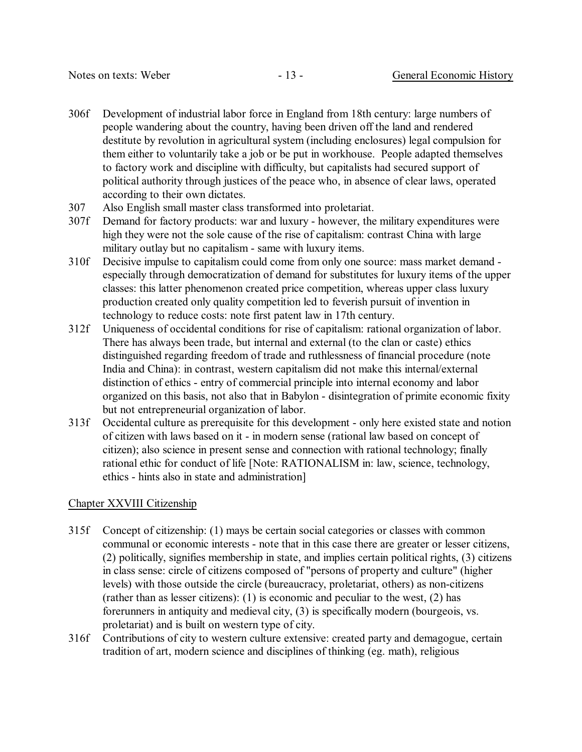- 306f Development of industrial labor force in England from 18th century: large numbers of people wandering about the country, having been driven off the land and rendered destitute by revolution in agricultural system (including enclosures) legal compulsion for them either to voluntarily take a job or be put in workhouse. People adapted themselves to factory work and discipline with difficulty, but capitalists had secured support of political authority through justices of the peace who, in absence of clear laws, operated according to their own dictates.
- 307 Also English small master class transformed into proletariat.
- 307f Demand for factory products: war and luxury however, the military expenditures were high they were not the sole cause of the rise of capitalism: contrast China with large military outlay but no capitalism - same with luxury items.
- 310f Decisive impulse to capitalism could come from only one source: mass market demand especially through democratization of demand for substitutes for luxury items of the upper classes: this latter phenomenon created price competition, whereas upper class luxury production created only quality competition led to feverish pursuit of invention in technology to reduce costs: note first patent law in 17th century.
- 312f Uniqueness of occidental conditions for rise of capitalism: rational organization of labor. There has always been trade, but internal and external (to the clan or caste) ethics distinguished regarding freedom of trade and ruthlessness of financial procedure (note India and China): in contrast, western capitalism did not make this internal/external distinction of ethics - entry of commercial principle into internal economy and labor organized on this basis, not also that in Babylon - disintegration of primite economic fixity but not entrepreneurial organization of labor.
- 313f Occidental culture as prerequisite for this development only here existed state and notion of citizen with laws based on it - in modern sense (rational law based on concept of citizen); also science in present sense and connection with rational technology; finally rational ethic for conduct of life [Note: RATIONALISM in: law, science, technology, ethics - hints also in state and administration]

# Chapter XXVIII Citizenship

- 315f Concept of citizenship: (1) mays be certain social categories or classes with common communal or economic interests - note that in this case there are greater or lesser citizens, (2) politically, signifies membership in state, and implies certain political rights, (3) citizens in class sense: circle of citizens composed of "persons of property and culture" (higher levels) with those outside the circle (bureaucracy, proletariat, others) as non-citizens (rather than as lesser citizens): (1) is economic and peculiar to the west, (2) has forerunners in antiquity and medieval city, (3) is specifically modern (bourgeois, vs. proletariat) and is built on western type of city.
- 316f Contributions of city to western culture extensive: created party and demagogue, certain tradition of art, modern science and disciplines of thinking (eg. math), religious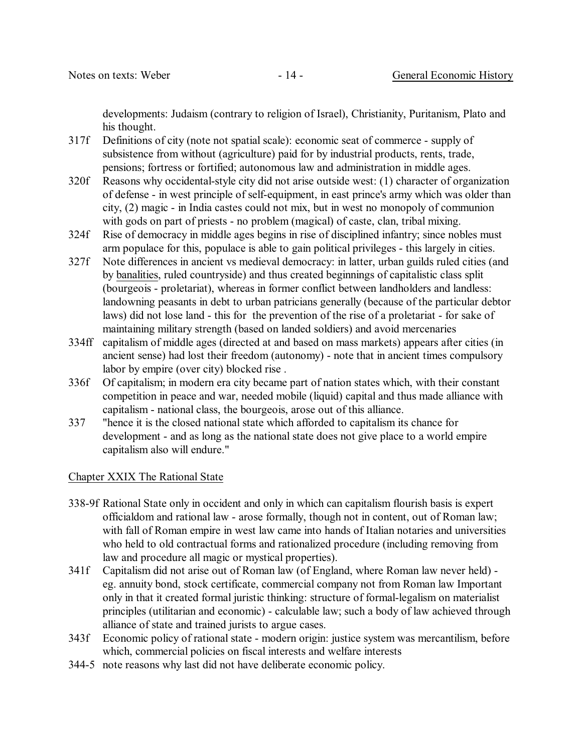developments: Judaism (contrary to religion of Israel), Christianity, Puritanism, Plato and his thought.

- 317f Definitions of city (note not spatial scale): economic seat of commerce supply of subsistence from without (agriculture) paid for by industrial products, rents, trade, pensions; fortress or fortified; autonomous law and administration in middle ages.
- 320f Reasons why occidental-style city did not arise outside west: (1) character of organization of defense - in west principle of self-equipment, in east prince's army which was older than city, (2) magic - in India castes could not mix, but in west no monopoly of communion with gods on part of priests - no problem (magical) of caste, clan, tribal mixing.
- 324f Rise of democracy in middle ages begins in rise of disciplined infantry; since nobles must arm populace for this, populace is able to gain political privileges - this largely in cities.
- 327f Note differences in ancient vs medieval democracy: in latter, urban guilds ruled cities (and by banalities, ruled countryside) and thus created beginnings of capitalistic class split (bourgeois - proletariat), whereas in former conflict between landholders and landless: landowning peasants in debt to urban patricians generally (because of the particular debtor laws) did not lose land - this for the prevention of the rise of a proletariat - for sake of maintaining military strength (based on landed soldiers) and avoid mercenaries
- 334ff capitalism of middle ages (directed at and based on mass markets) appears after cities (in ancient sense) had lost their freedom (autonomy) - note that in ancient times compulsory labor by empire (over city) blocked rise .
- 336f Of capitalism; in modern era city became part of nation states which, with their constant competition in peace and war, needed mobile (liquid) capital and thus made alliance with capitalism - national class, the bourgeois, arose out of this alliance.
- 337 "hence it is the closed national state which afforded to capitalism its chance for development - and as long as the national state does not give place to a world empire capitalism also will endure."

# Chapter XXIX The Rational State

- 338-9f Rational State only in occident and only in which can capitalism flourish basis is expert officialdom and rational law - arose formally, though not in content, out of Roman law; with fall of Roman empire in west law came into hands of Italian notaries and universities who held to old contractual forms and rationalized procedure (including removing from law and procedure all magic or mystical properties).
- 341f Capitalism did not arise out of Roman law (of England, where Roman law never held) eg. annuity bond, stock certificate, commercial company not from Roman law Important only in that it created formal juristic thinking: structure of formal-legalism on materialist principles (utilitarian and economic) - calculable law; such a body of law achieved through alliance of state and trained jurists to argue cases.
- 343f Economic policy of rational state modern origin: justice system was mercantilism, before which, commercial policies on fiscal interests and welfare interests
- 344-5 note reasons why last did not have deliberate economic policy.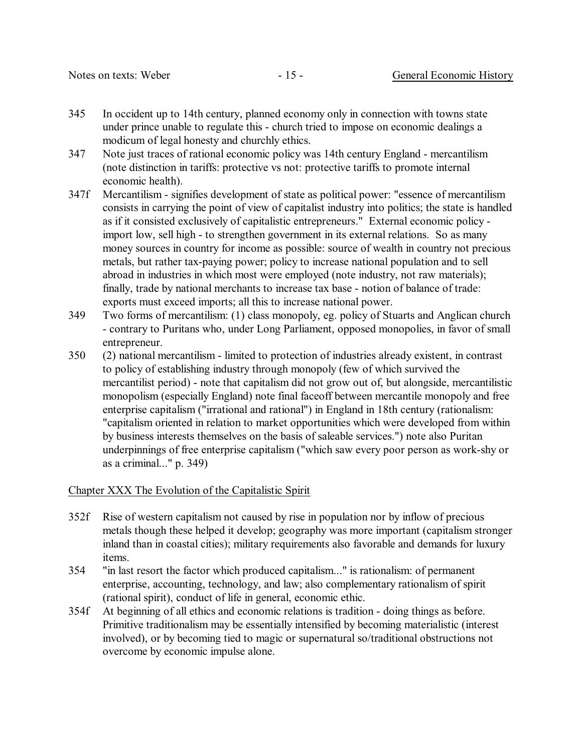- 345 In occident up to 14th century, planned economy only in connection with towns state under prince unable to regulate this - church tried to impose on economic dealings a modicum of legal honesty and churchly ethics.
- 347 Note just traces of rational economic policy was 14th century England mercantilism (note distinction in tariffs: protective vs not: protective tariffs to promote internal economic health).
- 347f Mercantilism signifies development of state as political power: "essence of mercantilism consists in carrying the point of view of capitalist industry into politics; the state is handled as if it consisted exclusively of capitalistic entrepreneurs." External economic policy import low, sell high - to strengthen government in its external relations. So as many money sources in country for income as possible: source of wealth in country not precious metals, but rather tax-paying power; policy to increase national population and to sell abroad in industries in which most were employed (note industry, not raw materials); finally, trade by national merchants to increase tax base - notion of balance of trade: exports must exceed imports; all this to increase national power.
- 349 Two forms of mercantilism: (1) class monopoly, eg. policy of Stuarts and Anglican church - contrary to Puritans who, under Long Parliament, opposed monopolies, in favor of small entrepreneur.
- 350 (2) national mercantilism limited to protection of industries already existent, in contrast to policy of establishing industry through monopoly (few of which survived the mercantilist period) - note that capitalism did not grow out of, but alongside, mercantilistic monopolism (especially England) note final faceoff between mercantile monopoly and free enterprise capitalism ("irrational and rational") in England in 18th century (rationalism: "capitalism oriented in relation to market opportunities which were developed from within by business interests themselves on the basis of saleable services.") note also Puritan underpinnings of free enterprise capitalism ("which saw every poor person as work-shy or as a criminal..." p. 349)

#### Chapter XXX The Evolution of the Capitalistic Spirit

- 352f Rise of western capitalism not caused by rise in population nor by inflow of precious metals though these helped it develop; geography was more important (capitalism stronger inland than in coastal cities); military requirements also favorable and demands for luxury items.
- 354 "in last resort the factor which produced capitalism..." is rationalism: of permanent enterprise, accounting, technology, and law; also complementary rationalism of spirit (rational spirit), conduct of life in general, economic ethic.
- 354f At beginning of all ethics and economic relations is tradition doing things as before. Primitive traditionalism may be essentially intensified by becoming materialistic (interest involved), or by becoming tied to magic or supernatural so/traditional obstructions not overcome by economic impulse alone.